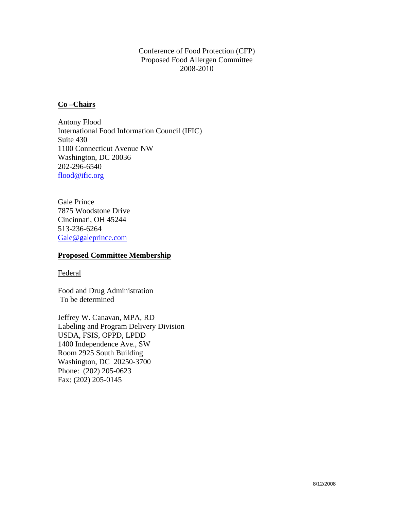# Conference of Food Protection (CFP) Proposed Food Allergen Committee 2008-2010

# **Co –Chairs**

Antony Flood International Food Information Council (IFIC) Suite 430 1100 Connecticut Avenue NW Washington, DC 20036 202-296-6540 [flood@ific.org](mailto:flood@ific.org)

Gale Prince 7875 Woodstone Drive Cincinnati, OH 45244 513-236-6264 [Gale@galeprince.com](mailto:Gale@galeprince.com)

### **Proposed Committee Membership**

### Federal

Food and Drug Administration To be determined

Jeffrey W. Canavan, MPA, RD Labeling and Program Delivery Division USDA, FSIS, OPPD, LPDD 1400 Independence Ave., SW Room 2925 South Building Washington, DC 20250-3700 Phone: (202) 205-0623 Fax: (202) 205-0145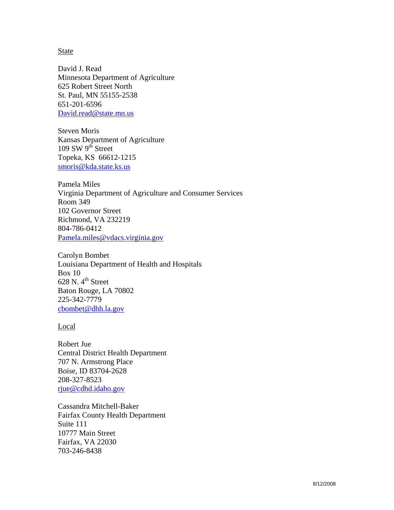#### State

David J. Read Minnesota Department of Agriculture 625 Robert Street North St. Paul, MN 55155-2538 651-201-6596 [David.read@state.mn.us](mailto:David.read@state.mn.us)

Steven Moris Kansas Department of Agriculture 109 SW  $9<sup>th</sup>$  Street Topeka, KS 66612-1215 [smoris@kda.state.ks.us](mailto:smoris@kda.state.ks.us)

Pamela Miles Virginia Department of Agriculture and Consumer Services Room 349 102 Governor Street Richmond, VA 232219 804-786-0412 [Pamela.miles@vdacs.virginia.gov](mailto:Pamela.miles@vdacs.virginia.gov)

Carolyn Bombet Louisiana Department of Health and Hospitals Box 10 628 N.  $4^{\text{th}}$  Street Baton Rouge, LA 70802 225-342-7779 [cbombet@dhh.la.gov](mailto:cbombet@dhh.la.gov)

#### Local

Robert Jue Central District Health Department 707 N. Armstrong Place Boise, ID 83704-2628 208-327-8523 [rjue@cdhd.idaho.gov](mailto:rjue@cdhd.idaho.gov)

Cassandra Mitchell-Baker Fairfax County Health Department Suite 111 10777 Main Street Fairfax, VA 22030 703-246-8438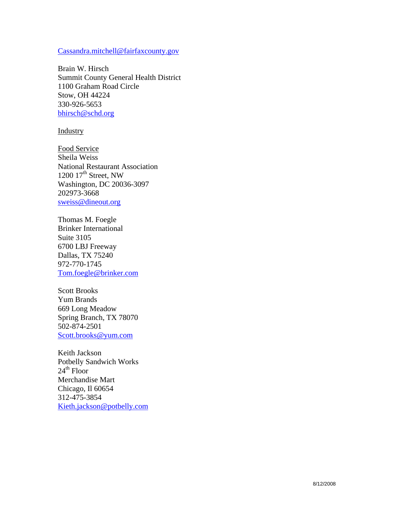### [Cassandra.mitchell@fairfaxcounty.gov](mailto:Cassandra.mitchell@fairfaxcounty.gov)

Brain W. Hirsch Summit County General Health District 1100 Graham Road Circle Stow, OH 44224 330-926-5653 [bhirsch@schd.org](mailto:bhirsch@schd.org)

### Industry

Food Service Sheila Weiss National Restaurant Association 1200  $17<sup>th</sup>$  Street, NW Washington, DC 20036-3097 202973-3668 [sweiss@dineout.org](mailto:sweiss@dineout.org)

Thomas M. Foegle Brinker International Suite 3105 6700 LBJ Freeway Dallas, TX 75240 972-770-1745 [Tom.foegle@brinker.com](mailto:Tom.foegle@brinker.com)

Scott Brooks Yum Brands 669 Long Meadow Spring Branch, TX 78070 502-874-2501 [Scott.brooks@yum.com](mailto:Scott.brooks@yum.com)

Keith Jackson Potbelly Sandwich Works  $24<sup>th</sup>$  Floor Merchandise Mart Chicago, Il 60654 312-475-3854 [Kieth.jackson@potbelly.com](mailto:Kieth.jackson@potbelly.com)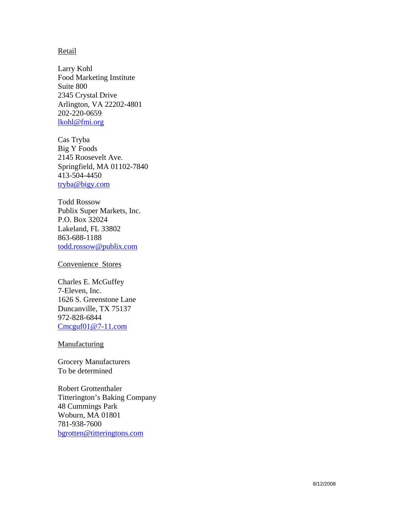### **Retail**

Larry Kohl Food Marketing Institute Suite 800 2345 Crystal Drive Arlington, VA 22202-4801 202-220-0659 [lkohl@fmi.org](mailto:lkohl@fmi.org)

Cas Tryba Big Y Foods 2145 Roosevelt Ave. Springfield, MA 01102-7840 413-504-4450 [tryba@bigy.com](mailto:tryba@bigy.com)

Todd Rossow Publix Super Markets, Inc. P.O. Box 32024 Lakeland, FL 33802 863-688-1188 [todd.rossow@publix.com](mailto:todd.rossow@publix.com)

Convenience Stores

Charles E. McGuffey 7-Eleven, Inc. 1626 S. Greenstone Lane Duncanville, TX 75137 972-828-6844 [Cmcguf01@7-11.com](mailto:Cmcguf01@7-11.com)

# **Manufacturing**

Grocery Manufacturers To be determined

Robert Grottenthaler Titterington's Baking Company 48 Cummings Park Woburn, MA 01801 781-938-7600 [bgrotten@titteringtons.com](mailto:bgrotten@titteringtons.com)